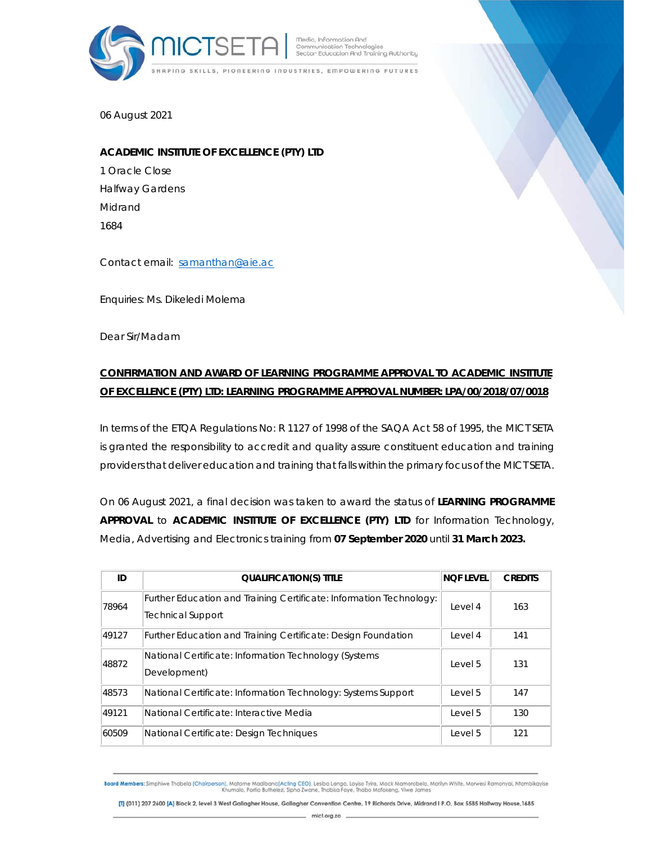

Media, Information And Communication Technologies<br>Sector Education And Training Authority

SHAPING SKILLS, PIONEERING INDUSTRIES, EMPOWERING FUTURES

06 August 2021

## **ACADEMIC INSTITUTE OF EXCELLENCE (PTY) LTD**

1 Oracle Close Halfway Gardens Midrand 1684

Contact email: samanthan@aie.ac

Enquiries: Ms. Dikeledi Molema

Dear Sir/Madam

## **CONFIRMATION AND AWARD OF LEARNING PROGRAMME APPROVAL TO ACADEMIC INSTITUTE OF EXCELLENCE (PTY) LTD: LEARNING PROGRAMME APPROVAL NUMBER: LPA/00/2018/07/0018**

In terms of the ETQA Regulations No: R 1127 of 1998 of the SAQA Act 58 of 1995, the MICT SETA is granted the responsibility to accredit and quality assure constituent education and training providers that deliver education and training that falls within the primary focus of the MICT SETA.

On 06 August 2021, a final decision was taken to award the status of **LEARNING PROGRAMME APPROVAL** to **ACADEMIC INSTITUTE OF EXCELLENCE (PTY) LTD** for Information Technology, Media, Advertising and Electronics training from **07 September 2020** until **31 March 2023.** 

| ID    | <b>QUALIFICATION(S) TITLE</b>                                                                   | <b>NOF LEVEL</b> | <b>CREDITS</b> |
|-------|-------------------------------------------------------------------------------------------------|------------------|----------------|
| 78964 | Further Education and Training Certificate: Information Technology:<br><b>Technical Support</b> | Level 4          | 163            |
| 49127 | Further Education and Training Certificate: Design Foundation                                   | Level 4          | 141            |
| 48872 | National Certificate: Information Technology (Systems)<br>Development)                          | Level 5          | 131            |
| 48573 | National Certificate: Information Technology: Systems Support                                   | Level 5          | 147            |
| 49121 | National Certificate: Interactive Media                                                         | Level 5          | 130            |
| 60509 | National Certificate: Design Techniques                                                         | Level 5          | 121            |

Board Members: Simphiwe Thobela (Chairperson), Matome Madibana(Acting CEO), Lesiba Langa, Loyiso Tyira, Mack Mamorobela, Marilyn White, Morwesi Ramonyai, Ntombikayise<br>Khumalo, Portia Buthelezi, Sipho Zwane, Thabisa Faye, T

[T] (011) 207 2600 [A] Block 2, level 3 West Gallagher House, Gallagher Convention Centre, 19 Richards Drive, Midrand I P.O. Box 5585 Halfway House, 1685